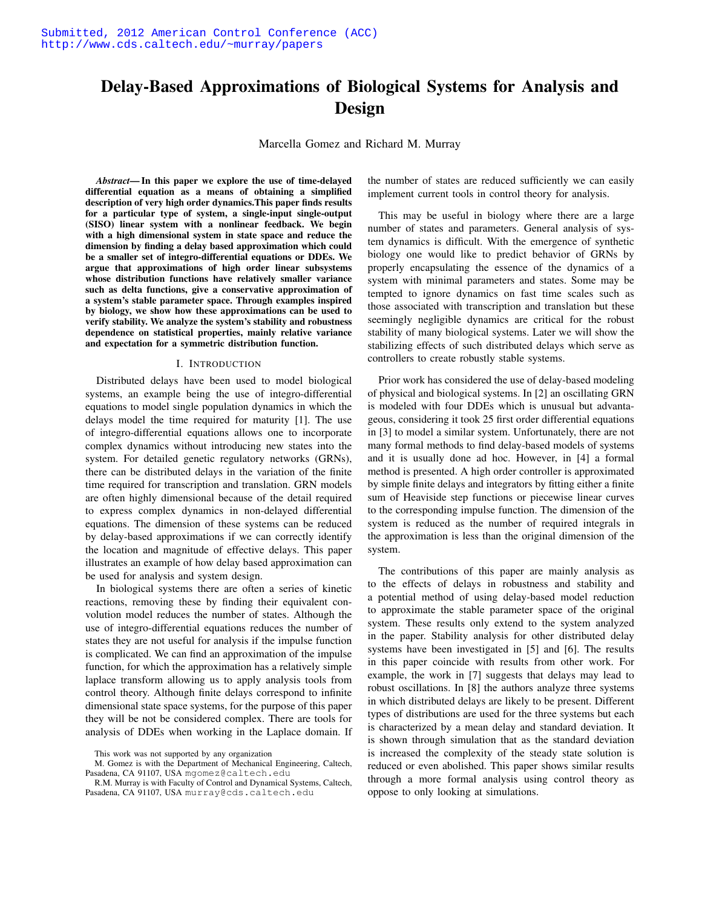# Delay-Based Approximations of Biological Systems for Analysis and Design

Marcella Gomez and Richard M. Murray

*Abstract*— In this paper we explore the use of time-delayed differential equation as a means of obtaining a simplified description of very high order dynamics.This paper finds results for a particular type of system, a single-input single-output (SISO) linear system with a nonlinear feedback. We begin with a high dimensional system in state space and reduce the dimension by finding a delay based approximation which could be a smaller set of integro-differential equations or DDEs. We argue that approximations of high order linear subsystems whose distribution functions have relatively smaller variance such as delta functions, give a conservative approximation of a system's stable parameter space. Through examples inspired by biology, we show how these approximations can be used to verify stability. We analyze the system's stability and robustness dependence on statistical properties, mainly relative variance and expectation for a symmetric distribution function.

#### I. INTRODUCTION

Distributed delays have been used to model biological systems, an example being the use of integro-differential equations to model single population dynamics in which the delays model the time required for maturity [1]. The use of integro-differential equations allows one to incorporate complex dynamics without introducing new states into the system. For detailed genetic regulatory networks (GRNs), there can be distributed delays in the variation of the finite time required for transcription and translation. GRN models are often highly dimensional because of the detail required to express complex dynamics in non-delayed differential equations. The dimension of these systems can be reduced by delay-based approximations if we can correctly identify the location and magnitude of effective delays. This paper illustrates an example of how delay based approximation can be used for analysis and system design.

In biological systems there are often a series of kinetic reactions, removing these by finding their equivalent convolution model reduces the number of states. Although the use of integro-differential equations reduces the number of states they are not useful for analysis if the impulse function is complicated. We can find an approximation of the impulse function, for which the approximation has a relatively simple laplace transform allowing us to apply analysis tools from control theory. Although finite delays correspond to infinite dimensional state space systems, for the purpose of this paper they will be not be considered complex. There are tools for analysis of DDEs when working in the Laplace domain. If the number of states are reduced sufficiently we can easily implement current tools in control theory for analysis.

This may be useful in biology where there are a large number of states and parameters. General analysis of system dynamics is difficult. With the emergence of synthetic biology one would like to predict behavior of GRNs by properly encapsulating the essence of the dynamics of a system with minimal parameters and states. Some may be tempted to ignore dynamics on fast time scales such as those associated with transcription and translation but these seemingly negligible dynamics are critical for the robust stability of many biological systems. Later we will show the stabilizing effects of such distributed delays which serve as controllers to create robustly stable systems.

Prior work has considered the use of delay-based modeling of physical and biological systems. In [2] an oscillating GRN is modeled with four DDEs which is unusual but advantageous, considering it took 25 first order differential equations in [3] to model a similar system. Unfortunately, there are not many formal methods to find delay-based models of systems and it is usually done ad hoc. However, in [4] a formal method is presented. A high order controller is approximated by simple finite delays and integrators by fitting either a finite sum of Heaviside step functions or piecewise linear curves to the corresponding impulse function. The dimension of the system is reduced as the number of required integrals in the approximation is less than the original dimension of the system.

The contributions of this paper are mainly analysis as to the effects of delays in robustness and stability and a potential method of using delay-based model reduction to approximate the stable parameter space of the original system. These results only extend to the system analyzed in the paper. Stability analysis for other distributed delay systems have been investigated in [5] and [6]. The results in this paper coincide with results from other work. For example, the work in [7] suggests that delays may lead to robust oscillations. In [8] the authors analyze three systems in which distributed delays are likely to be present. Different types of distributions are used for the three systems but each is characterized by a mean delay and standard deviation. It is shown through simulation that as the standard deviation is increased the complexity of the steady state solution is reduced or even abolished. This paper shows similar results through a more formal analysis using control theory as oppose to only looking at simulations.

This work was not supported by any organization

M. Gomez is with the Department of Mechanical Engineering, Caltech, Pasadena, CA 91107, USA mgomez@caltech.edu

R.M. Murray is with Faculty of Control and Dynamical Systems, Caltech, Pasadena, CA 91107, USA murray@cds.caltech.edu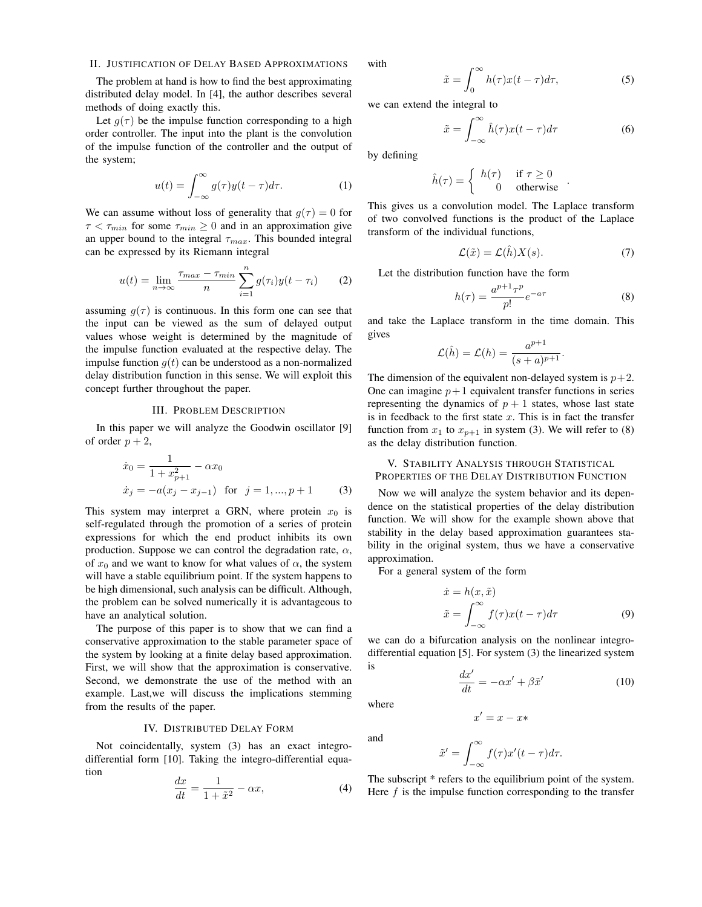## II. JUSTIFICATION OF DELAY BASED APPROXIMATIONS

The problem at hand is how to find the best approximating distributed delay model. In [4], the author describes several methods of doing exactly this.

Let  $g(\tau)$  be the impulse function corresponding to a high order controller. The input into the plant is the convolution of the impulse function of the controller and the output of the system;

$$
u(t) = \int_{-\infty}^{\infty} g(\tau) y(t - \tau) d\tau.
$$
 (1)

We can assume without loss of generality that  $g(\tau) = 0$  for  $\tau < \tau_{min}$  for some  $\tau_{min} \geq 0$  and in an approximation give an upper bound to the integral  $\tau_{max}$ . This bounded integral can be expressed by its Riemann integral

$$
u(t) = \lim_{n \to \infty} \frac{\tau_{max} - \tau_{min}}{n} \sum_{i=1}^{n} g(\tau_i) y(t - \tau_i)
$$
 (2)

assuming  $g(\tau)$  is continuous. In this form one can see that the input can be viewed as the sum of delayed output values whose weight is determined by the magnitude of the impulse function evaluated at the respective delay. The impulse function  $q(t)$  can be understood as a non-normalized delay distribution function in this sense. We will exploit this concept further throughout the paper.

#### III. PROBLEM DESCRIPTION

In this paper we will analyze the Goodwin oscillator [9] of order  $p + 2$ ,

$$
\begin{aligned}\n\dot{x}_0 &= \frac{1}{1 + x_{p+1}^2} - \alpha x_0 \\
\dot{x}_j &= -a(x_j - x_{j-1}) \quad \text{for} \quad j = 1, ..., p+1\n\end{aligned}
$$
(3)

This system may interpret a GRN, where protein  $x_0$  is self-regulated through the promotion of a series of protein expressions for which the end product inhibits its own production. Suppose we can control the degradation rate,  $\alpha$ , of  $x_0$  and we want to know for what values of  $\alpha$ , the system will have a stable equilibrium point. If the system happens to be high dimensional, such analysis can be difficult. Although, the problem can be solved numerically it is advantageous to have an analytical solution.

The purpose of this paper is to show that we can find a conservative approximation to the stable parameter space of the system by looking at a finite delay based approximation. First, we will show that the approximation is conservative. Second, we demonstrate the use of the method with an example. Last,we will discuss the implications stemming from the results of the paper.

## IV. DISTRIBUTED DELAY FORM

Not coincidentally, system (3) has an exact integrodifferential form [10]. Taking the integro-differential equation

$$
\frac{dx}{dt} = \frac{1}{1 + \tilde{x}^2} - \alpha x,\tag{4}
$$

with

$$
\tilde{x} = \int_0^\infty h(\tau)x(t-\tau)d\tau,\tag{5}
$$

we can extend the integral to

$$
\tilde{x} = \int_{-\infty}^{\infty} \hat{h}(\tau)x(t-\tau)d\tau
$$
 (6)

by defining

$$
\hat{h}(\tau) = \begin{cases} h(\tau) & \text{if } \tau \ge 0 \\ 0 & \text{otherwise} \end{cases}.
$$

This gives us a convolution model. The Laplace transform of two convolved functions is the product of the Laplace transform of the individual functions,

$$
\mathcal{L}(\tilde{x}) = \mathcal{L}(\hat{h})X(s). \tag{7}
$$

Let the distribution function have the form

$$
h(\tau) = \frac{a^{p+1}\tau^p}{p!}e^{-a\tau}
$$
 (8)

and take the Laplace transform in the time domain. This gives

$$
\mathcal{L}(\hat{h}) = \mathcal{L}(h) = \frac{a^{p+1}}{(s+a)^{p+1}}.
$$

The dimension of the equivalent non-delayed system is  $p+2$ . One can imagine  $p+1$  equivalent transfer functions in series representing the dynamics of  $p + 1$  states, whose last state is in feedback to the first state *x*. This is in fact the transfer function from  $x_1$  to  $x_{p+1}$  in system (3). We will refer to (8) as the delay distribution function.

# V. STABILITY ANALYSIS THROUGH STATISTICAL PROPERTIES OF THE DELAY DISTRIBUTION FUNCTION

Now we will analyze the system behavior and its dependence on the statistical properties of the delay distribution function. We will show for the example shown above that stability in the delay based approximation guarantees stability in the original system, thus we have a conservative approximation.

For a general system of the form

$$
\begin{aligned}\n\dot{x} &= h(x, \tilde{x}) \\
\tilde{x} &= \int_{-\infty}^{\infty} f(\tau)x(t - \tau)d\tau\n\end{aligned} \tag{9}
$$

we can do a bifurcation analysis on the nonlinear integrodifferential equation [5]. For system (3) the linearized system is

$$
\frac{dx'}{dt} = -\alpha x' + \beta \tilde{x}' \tag{10}
$$

where

and

$$
x' = x
$$

$$
\tilde{x}' = \int_{-\infty}^{\infty} f(\tau) x'(t - \tau) d\tau.
$$

 $- x$  $\ast$ 

The subscript \* refers to the equilibrium point of the system. Here *f* is the impulse function corresponding to the transfer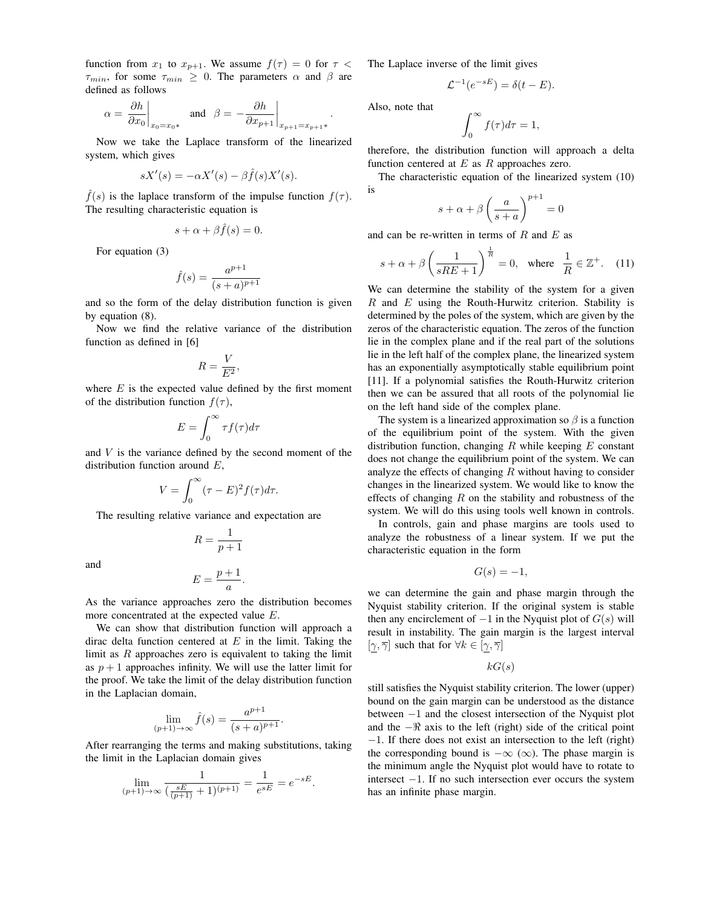function from  $x_1$  to  $x_{p+1}$ . We assume  $f(\tau) = 0$  for  $\tau <$  $\tau_{min}$ , for some  $\tau_{min} \geq 0$ . The parameters  $\alpha$  and  $\beta$  are defined as follows

$$
\alpha = \left. \frac{\partial h}{\partial x_0} \right|_{x_0 = x_0*} \quad \text{and} \quad \beta = -\frac{\partial h}{\partial x_{p+1}} \bigg|_{x_{p+1} = x_{p+1}*}.
$$

Now we take the Laplace transform of the linearized system, which gives

$$
sX'(s) = -\alpha X'(s) - \beta \hat{f}(s)X'(s).
$$

 $\hat{f}(s)$  is the laplace transform of the impulse function  $f(\tau)$ . The resulting characteristic equation is

$$
s + \alpha + \beta \hat{f}(s) = 0.
$$

For equation (3)

$$
\hat{f}(s) = \frac{a^{p+1}}{(s+a)^{p+1}}
$$

and so the form of the delay distribution function is given by equation (8).

Now we find the relative variance of the distribution function as defined in [6]

$$
R = \frac{V}{E^2},
$$

where  $E$  is the expected value defined by the first moment of the distribution function  $f(\tau)$ ,

$$
E = \int_0^\infty \tau f(\tau) d\tau
$$

and *V* is the variance defined by the second moment of the distribution function around *E*,

$$
V = \int_0^\infty (\tau - E)^2 f(\tau) d\tau.
$$

The resulting relative variance and expectation are

and

$$
E = \frac{p+1}{a}.
$$

 $R = \frac{1}{p+1}$ 

As the variance approaches zero the distribution becomes more concentrated at the expected value *E*.

We can show that distribution function will approach a dirac delta function centered at *E* in the limit. Taking the limit as *R* approaches zero is equivalent to taking the limit as  $p + 1$  approaches infinity. We will use the latter limit for the proof. We take the limit of the delay distribution function in the Laplacian domain,

$$
\lim_{(p+1)\to\infty} \hat{f}(s) = \frac{a^{p+1}}{(s+a)^{p+1}}.
$$

After rearranging the terms and making substitutions, taking the limit in the Laplacian domain gives

$$
\lim_{(p+1)\to\infty} \frac{1}{(\frac{sE}{(p+1)}+1)^{(p+1)}} = \frac{1}{e^{sE}} = e^{-sE}.
$$

The Laplace inverse of the limit gives

$$
\mathcal{L}^{-1}(e^{-sE}) = \delta(t - E).
$$

Also, note that

$$
\int_0^\infty f(\tau)d\tau=1,
$$

therefore, the distribution function will approach a delta function centered at *E* as *R* approaches zero.

The characteristic equation of the linearized system (10) is

$$
s + \alpha + \beta \left(\frac{a}{s+a}\right)^{p+1} = 0
$$

and can be re-written in terms of *R* and *E* as

$$
s + \alpha + \beta \left(\frac{1}{sRE + 1}\right)^{\frac{1}{R}} = 0, \text{ where } \frac{1}{R} \in \mathbb{Z}^+. \quad (11)
$$

We can determine the stability of the system for a given *R* and *E* using the Routh-Hurwitz criterion. Stability is determined by the poles of the system, which are given by the zeros of the characteristic equation. The zeros of the function lie in the complex plane and if the real part of the solutions lie in the left half of the complex plane, the linearized system has an exponentially asymptotically stable equilibrium point [11]. If a polynomial satisfies the Routh-Hurwitz criterion then we can be assured that all roots of the polynomial lie on the left hand side of the complex plane.

The system is a linearized approximation so  $\beta$  is a function of the equilibrium point of the system. With the given distribution function, changing *R* while keeping *E* constant does not change the equilibrium point of the system. We can analyze the effects of changing *R* without having to consider changes in the linearized system. We would like to know the effects of changing *R* on the stability and robustness of the system. We will do this using tools well known in controls.

In controls, gain and phase margins are tools used to analyze the robustness of a linear system. If we put the characteristic equation in the form

$$
G(s) = -1,
$$

we can determine the gain and phase margin through the Nyquist stability criterion. If the original system is stable then any encirclement of  $-1$  in the Nyquist plot of  $G(s)$  will result in instability. The gain margin is the largest interval  $[\gamma, \overline{\gamma}]$  such that for  $\forall k \in [\gamma, \overline{\gamma}]$ 

$$
kG(s)
$$

still satisfies the Nyquist stability criterion. The lower (upper) bound on the gain margin can be understood as the distance between −1 and the closest intersection of the Nyquist plot and the −& axis to the left (right) side of the critical point −1. If there does not exist an intersection to the left (right) the corresponding bound is  $-\infty$  ( $\infty$ ). The phase margin is the minimum angle the Nyquist plot would have to rotate to intersect −1. If no such intersection ever occurs the system has an infinite phase margin.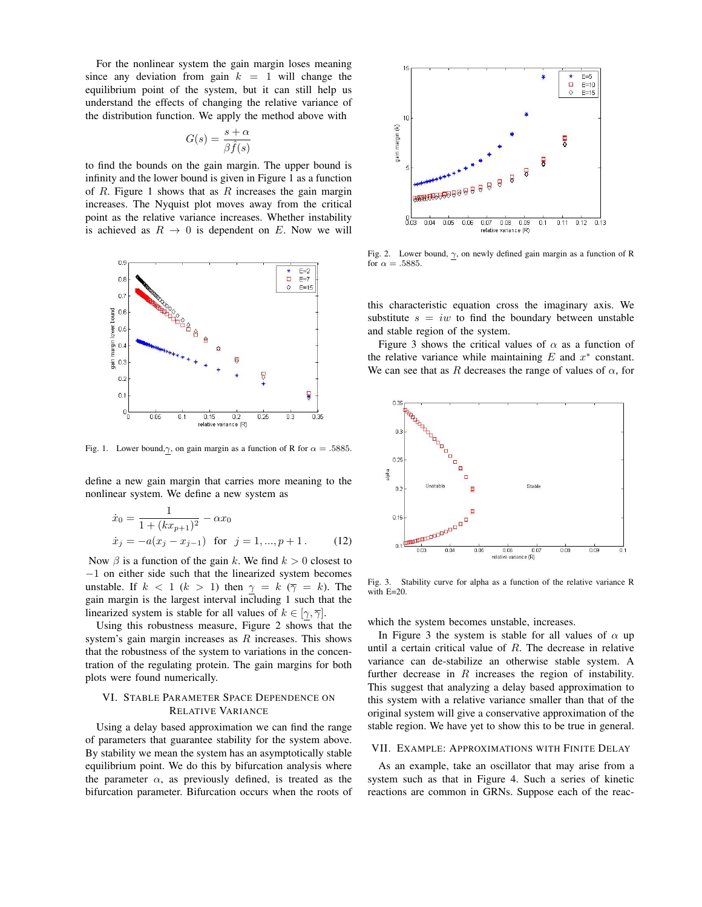For the nonlinear system the gain margin loses meaning since any deviation from gain  $k = 1$  will change the equilibrium point of the system, but it can still help us understand the effects of changing the relative variance of the distribution function. We apply the method above with

$$
G(s) = \frac{s + \alpha}{\beta \hat{f}(s)}
$$

to find the bounds on the gain margin. The upper bound is infinity and the lower bound is given in Figure 1 as a function of *R*. Figure 1 shows that as *R* increases the gain margin increases. The Nyquist plot moves away from the critical point as the relative variance increases. Whether instability is achieved as  $R \rightarrow 0$  is dependent on *E*. Now we will



Fig. 1. Lower bound, $\gamma$ , on gain margin as a function of R for  $\alpha = .5885$ .

define a new gain margin that carries more meaning to the nonlinear system. We define a new system as

$$
\begin{aligned}\n\dot{x}_0 &= \frac{1}{1 + (kx_{p+1})^2} - \alpha x_0 \\
\dot{x}_j &= -a(x_j - x_{j-1}) \quad \text{for} \quad j = 1, ..., p+1. \n\end{aligned} \n\tag{12}
$$

Now  $\beta$  is a function of the gain *k*. We find  $k > 0$  closest to −1 on either side such that the linearized system becomes unstable. If  $k < 1$  ( $k > 1$ ) then  $\gamma = k$  ( $\overline{\gamma} = k$ ). The gain margin is the largest interval including 1 such that the linearized system is stable for all values of  $k \in [\gamma, \overline{\gamma}]$ .

Using this robustness measure, Figure 2 shows that the system's gain margin increases as *R* increases. This shows that the robustness of the system to variations in the concentration of the regulating protein. The gain margins for both plots were found numerically.

# VI. STABLE PARAMETER SPACE DEPENDENCE ON RELATIVE VARIANCE

Using a delay based approximation we can find the range of parameters that guarantee stability for the system above. By stability we mean the system has an asymptotically stable equilibrium point. We do this by bifurcation analysis where the parameter  $\alpha$ , as previously defined, is treated as the bifurcation parameter. Bifurcation occurs when the roots of



Fig. 2. Lower bound,  $\gamma$ , on newly defined gain margin as a function of R for  $\alpha = .5885$ .

this characteristic equation cross the imaginary axis. We substitute  $s = iw$  to find the boundary between unstable and stable region of the system.

Figure 3 shows the critical values of  $\alpha$  as a function of the relative variance while maintaining  $E$  and  $x^*$  constant. We can see that as *R* decreases the range of values of  $\alpha$ , for



Fig. 3. Stability curve for alpha as a function of the relative variance R with E=20.

which the system becomes unstable, increases.

In Figure 3 the system is stable for all values of  $\alpha$  up until a certain critical value of *R*. The decrease in relative variance can de-stabilize an otherwise stable system. A further decrease in *R* increases the region of instability. This suggest that analyzing a delay based approximation to this system with a relative variance smaller than that of the original system will give a conservative approximation of the stable region. We have yet to show this to be true in general.

## VII. EXAMPLE: APPROXIMATIONS WITH FINITE DELAY

As an example, take an oscillator that may arise from a system such as that in Figure 4. Such a series of kinetic reactions are common in GRNs. Suppose each of the reac-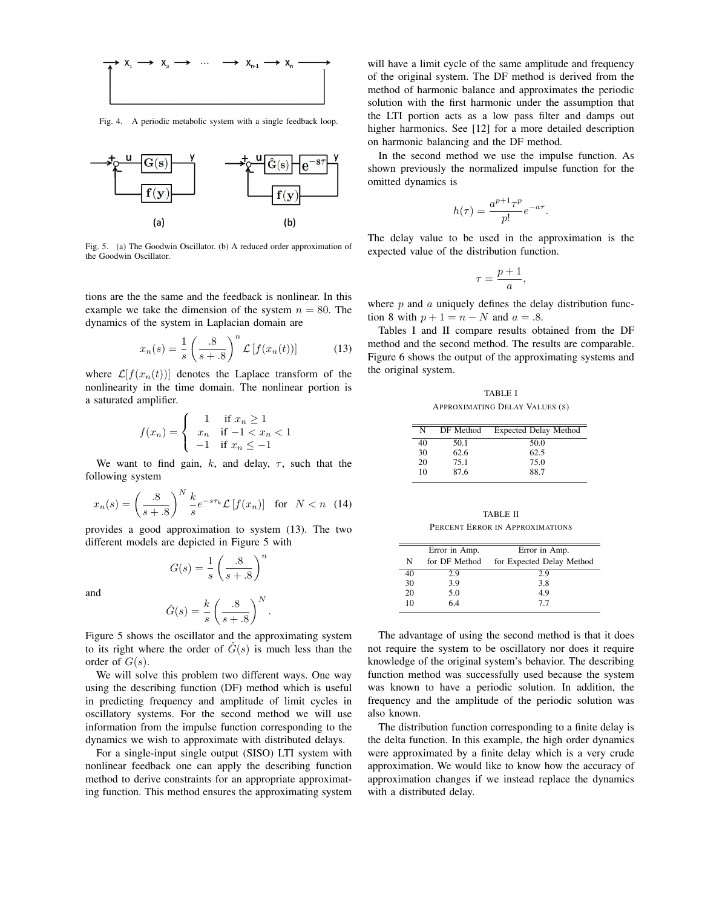

Fig. 4. A periodic metabolic system with a single feedback loop.



Fig. 5. (a) The Goodwin Oscillator. (b) A reduced order approximation of the Goodwin Oscillator.

tions are the the same and the feedback is nonlinear. In this example we take the dimension of the system  $n = 80$ . The dynamics of the system in Laplacian domain are

$$
x_n(s) = \frac{1}{s} \left(\frac{.8}{s+.8}\right)^n \mathcal{L}\left[f(x_n(t))\right] \tag{13}
$$

where  $\mathcal{L}[f(x_n(t))]$  denotes the Laplace transform of the nonlinearity in the time domain. The nonlinear portion is a saturated amplifier.

$$
f(x_n) = \begin{cases} 1 & \text{if } x_n \ge 1 \\ x_n & \text{if } -1 < x_n < 1 \\ -1 & \text{if } x_n \le -1 \end{cases}
$$

We want to find gain,  $k$ , and delay,  $\tau$ , such that the following system

$$
x_n(s) = \left(\frac{.8}{s+.8}\right)^N \frac{k}{s} e^{-s\tau_k} \mathcal{L}\left[f(x_n)\right] \quad \text{for} \quad N < n \quad (14)
$$

provides a good approximation to system (13). The two different models are depicted in Figure 5 with

$$
G(s) = \frac{1}{s} \left(\frac{.8}{s + .8}\right)^n
$$

and

$$
\hat{G}(s) = \frac{k}{s} \left(\frac{.8}{s + .8}\right)^N
$$

Figure 5 shows the oscillator and the approximating system to its right where the order of  $G(s)$  is much less than the order of  $G(s)$ .

*.*

We will solve this problem two different ways. One way using the describing function (DF) method which is useful in predicting frequency and amplitude of limit cycles in oscillatory systems. For the second method we will use information from the impulse function corresponding to the dynamics we wish to approximate with distributed delays.

For a single-input single output (SISO) LTI system with nonlinear feedback one can apply the describing function method to derive constraints for an appropriate approximating function. This method ensures the approximating system

will have a limit cycle of the same amplitude and frequency of the original system. The DF method is derived from the method of harmonic balance and approximates the periodic solution with the first harmonic under the assumption that the LTI portion acts as a low pass filter and damps out higher harmonics. See [12] for a more detailed description on harmonic balancing and the DF method.

In the second method we use the impulse function. As shown previously the normalized impulse function for the omitted dynamics is

$$
h(\tau) = \frac{a^{p+1}\tau^p}{p!}e^{-a\tau}.
$$

The delay value to be used in the approximation is the expected value of the distribution function.

$$
\tau = \frac{p+1}{a},
$$

where *p* and *a* uniquely defines the delay distribution function 8 with  $p + 1 = n - N$  and  $a = .8$ .

Tables I and II compare results obtained from the DF method and the second method. The results are comparable. Figure 6 shows the output of the approximating systems and the original system.

TABLE I APPROXIMATING DELAY VALUES (S)

| N  | DF Method | <b>Expected Delay Method</b> |
|----|-----------|------------------------------|
| 40 | 50.1      | 50.0                         |
| 30 | 62.6      | 62.5                         |
| 20 | 75.1      | 75.0                         |
| 10 | 87.6      | 88.7                         |

TABLE II PERCENT ERROR IN APPROXIMATIONS

|    | Error in Amp. | Error in Amp.             |
|----|---------------|---------------------------|
| N  | for DF Method | for Expected Delay Method |
| 40 | 2.9           | 2.9                       |
| 30 | 3.9           | 3.8                       |
| 20 | 5.0           | 4.9                       |
| 10 | 6.4           | 77                        |

The advantage of using the second method is that it does not require the system to be oscillatory nor does it require knowledge of the original system's behavior. The describing function method was successfully used because the system was known to have a periodic solution. In addition, the frequency and the amplitude of the periodic solution was also known.

The distribution function corresponding to a finite delay is the delta function. In this example, the high order dynamics were approximated by a finite delay which is a very crude approximation. We would like to know how the accuracy of approximation changes if we instead replace the dynamics with a distributed delay.